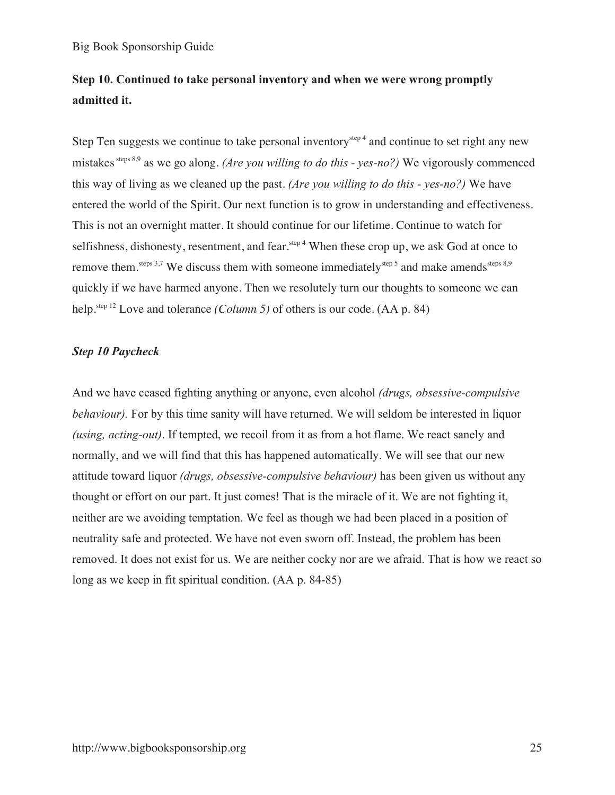# **Step 10. Continued to take personal inventory and when we were wrong promptly admitted it.**

Step Ten suggests we continue to take personal inventory<sup>step 4</sup> and continue to set right any new mistakes steps 8,9 as we go along. *(Are you willing to do this - yes-no?)* We vigorously commenced this way of living as we cleaned up the past. *(Are you willing to do this - yes-no?)* We have entered the world of the Spirit. Our next function is to grow in understanding and effectiveness. This is not an overnight matter. It should continue for our lifetime. Continue to watch for selfishness, dishonesty, resentment, and fear.<sup>step 4</sup> When these crop up, we ask God at once to remove them.<sup>steps 3,7</sup> We discuss them with someone immediately<sup>step 5</sup> and make amends<sup>steps 8,9</sup> quickly if we have harmed anyone. Then we resolutely turn our thoughts to someone we can help.<sup>step 12</sup> Love and tolerance *(Column 5)* of others is our code. (AA p. 84)

# *Step 10 Paycheck*

And we have ceased fighting anything or anyone, even alcohol *(drugs, obsessive-compulsive behaviour*). For by this time sanity will have returned. We will seldom be interested in liquor *(using, acting-out)*. If tempted, we recoil from it as from a hot flame. We react sanely and normally, and we will find that this has happened automatically. We will see that our new attitude toward liquor *(drugs, obsessive-compulsive behaviour)* has been given us without any thought or effort on our part. It just comes! That is the miracle of it. We are not fighting it, neither are we avoiding temptation. We feel as though we had been placed in a position of neutrality safe and protected. We have not even sworn off. Instead, the problem has been removed. It does not exist for us. We are neither cocky nor are we afraid. That is how we react so long as we keep in fit spiritual condition. (AA p. 84-85)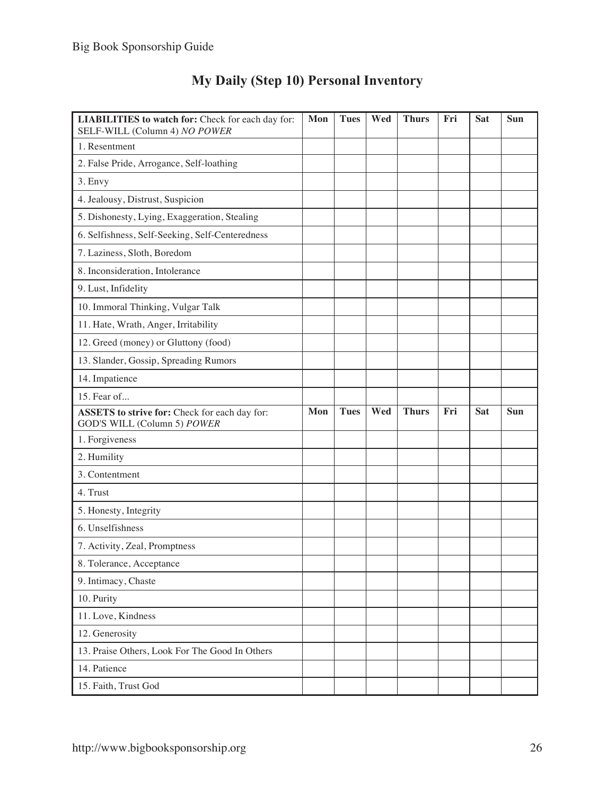| <b>LIABILITIES</b> to watch for: Check for each day for:<br>SELF-WILL (Column 4) NO POWER | Mon | <b>Tues</b> | Wed | <b>Thurs</b> | Fri | Sat | Sun |
|-------------------------------------------------------------------------------------------|-----|-------------|-----|--------------|-----|-----|-----|
| 1. Resentment                                                                             |     |             |     |              |     |     |     |
| 2. False Pride, Arrogance, Self-loathing                                                  |     |             |     |              |     |     |     |
| 3. Envy                                                                                   |     |             |     |              |     |     |     |
| 4. Jealousy, Distrust, Suspicion                                                          |     |             |     |              |     |     |     |
| 5. Dishonesty, Lying, Exaggeration, Stealing                                              |     |             |     |              |     |     |     |
| 6. Selfishness, Self-Seeking, Self-Centeredness                                           |     |             |     |              |     |     |     |
| 7. Laziness, Sloth, Boredom                                                               |     |             |     |              |     |     |     |
| 8. Inconsideration, Intolerance                                                           |     |             |     |              |     |     |     |
| 9. Lust, Infidelity                                                                       |     |             |     |              |     |     |     |
| 10. Immoral Thinking, Vulgar Talk                                                         |     |             |     |              |     |     |     |
| 11. Hate, Wrath, Anger, Irritability                                                      |     |             |     |              |     |     |     |
| 12. Greed (money) or Gluttony (food)                                                      |     |             |     |              |     |     |     |
| 13. Slander, Gossip, Spreading Rumors                                                     |     |             |     |              |     |     |     |
| 14. Impatience                                                                            |     |             |     |              |     |     |     |
| 15. Fear of                                                                               |     |             |     |              |     |     |     |
| <b>ASSETS</b> to strive for: Check for each day for:<br>GOD'S WILL (Column 5) POWER       | Mon | <b>Tues</b> | Wed | <b>Thurs</b> | Fri | Sat | Sun |
| 1. Forgiveness                                                                            |     |             |     |              |     |     |     |
| 2. Humility                                                                               |     |             |     |              |     |     |     |
| 3. Contentment                                                                            |     |             |     |              |     |     |     |
| 4. Trust                                                                                  |     |             |     |              |     |     |     |
| 5. Honesty, Integrity                                                                     |     |             |     |              |     |     |     |
| 6. Unselfishness                                                                          |     |             |     |              |     |     |     |
| 7. Activity, Zeal, Promptness                                                             |     |             |     |              |     |     |     |
| 8. Tolerance, Acceptance                                                                  |     |             |     |              |     |     |     |
| 9. Intimacy, Chaste                                                                       |     |             |     |              |     |     |     |
| 10. Purity                                                                                |     |             |     |              |     |     |     |
| 11. Love, Kindness                                                                        |     |             |     |              |     |     |     |
| 12. Generosity                                                                            |     |             |     |              |     |     |     |
| 13. Praise Others, Look For The Good In Others                                            |     |             |     |              |     |     |     |
| 14. Patience                                                                              |     |             |     |              |     |     |     |
| 15. Faith, Trust God                                                                      |     |             |     |              |     |     |     |

# **My Daily (Step 10) Personal Inventory**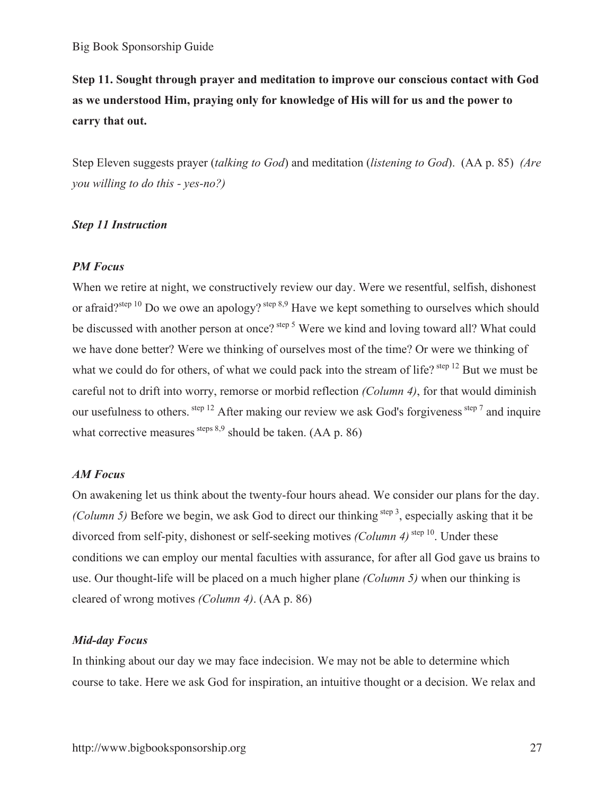**Step 11. Sought through prayer and meditation to improve our conscious contact with God as we understood Him, praying only for knowledge of His will for us and the power to carry that out.** 

Step Eleven suggests prayer (*talking to God*) and meditation (*listening to God*). (AA p. 85) *(Are you willing to do this - yes-no?)*

#### *Step 11 Instruction*

#### *PM Focus*

When we retire at night, we constructively review our day. Were we resentful, selfish, dishonest or afraid?<sup>step 10</sup> Do we owe an apology?  $\frac{\text{step } 8.9}{\text{step } 8.9}$  Have we kept something to ourselves which should be discussed with another person at once? <sup>step 5</sup> Were we kind and loving toward all? What could we have done better? Were we thinking of ourselves most of the time? Or were we thinking of what we could do for others, of what we could pack into the stream of life? <sup>step 12</sup> But we must be careful not to drift into worry, remorse or morbid reflection *(Column 4)*, for that would diminish our usefulness to others. step 12 After making our review we ask God's forgiveness step 7 and inquire what corrective measures steps  $8.9$  should be taken. (AA p. 86)

#### *AM Focus*

On awakening let us think about the twenty-four hours ahead. We consider our plans for the day. *(Column 5)* Before we begin, we ask God to direct our thinking step 3, especially asking that it be divorced from self-pity, dishonest or self-seeking motives *(Column 4)* step 10. Under these conditions we can employ our mental faculties with assurance, for after all God gave us brains to use. Our thought-life will be placed on a much higher plane *(Column 5)* when our thinking is cleared of wrong motives *(Column 4)*. (AA p. 86)

#### *Mid-day Focus*

In thinking about our day we may face indecision. We may not be able to determine which course to take. Here we ask God for inspiration, an intuitive thought or a decision. We relax and